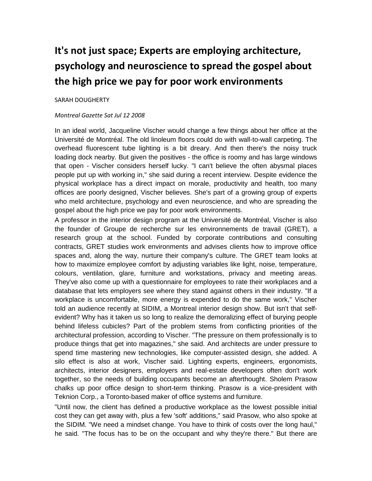## **It's not just space; Experts are employing architecture, psychology and neuroscience to spread the gospel about the high price we pay for poor work environments**

## SARAH DOUGHERTY

## *Montreal Gazette Sat Jul 12 2008*

In an ideal world, Jacqueline Vischer would change a few things about her office at the Université de Montréal. The old linoleum floors could do with wall-to-wall carpeting. The overhead fluorescent tube lighting is a bit dreary. And then there's the noisy truck loading dock nearby. But given the positives - the office is roomy and has large windows that open - Vischer considers herself lucky. "I can't believe the often abysmal places people put up with working in," she said during a recent interview. Despite evidence the physical workplace has a direct impact on morale, productivity and health, too many offices are poorly designed, Vischer believes. She's part of a growing group of experts who meld architecture, psychology and even neuroscience, and who are spreading the gospel about the high price we pay for poor work environments.

A professor in the interior design program at the Université de Montréal, Vischer is also the founder of Groupe de recherche sur les environnements de travail (GRET), a research group at the school. Funded by corporate contributions and consulting contracts, GRET studies work environments and advises clients how to improve office spaces and, along the way, nurture their company's culture. The GRET team looks at how to maximize employee comfort by adjusting variables like light, noise, temperature, colours, ventilation, glare, furniture and workstations, privacy and meeting areas. They've also come up with a questionnaire for employees to rate their workplaces and a database that lets employers see where they stand against others in their industry. "If a workplace is uncomfortable, more energy is expended to do the same work," Vischer told an audience recently at SIDIM, a Montreal interior design show. But isn't that selfevident? Why has it taken us so long to realize the demoralizing effect of burying people behind lifeless cubicles? Part of the problem stems from conflicting priorities of the architectural profession, according to Vischer. "The pressure on them professionally is to produce things that get into magazines," she said. And architects are under pressure to spend time mastering new technologies, like computer-assisted design, she added. A silo effect is also at work, Vischer said. Lighting experts, engineers, ergonomists, architects, interior designers, employers and real-estate developers often don't work together, so the needs of building occupants become an afterthought. Sholem Prasow chalks up poor office design to short-term thinking. Prasow is a vice-president with Teknion Corp., a Toronto-based maker of office systems and furniture.

"Until now, the client has defined a productive workplace as the lowest possible initial cost they can get away with, plus a few 'soft' additions," said Prasow, who also spoke at the SIDIM. "We need a mindset change. You have to think of costs over the long haul," he said. "The focus has to be on the occupant and why they're there." But there are